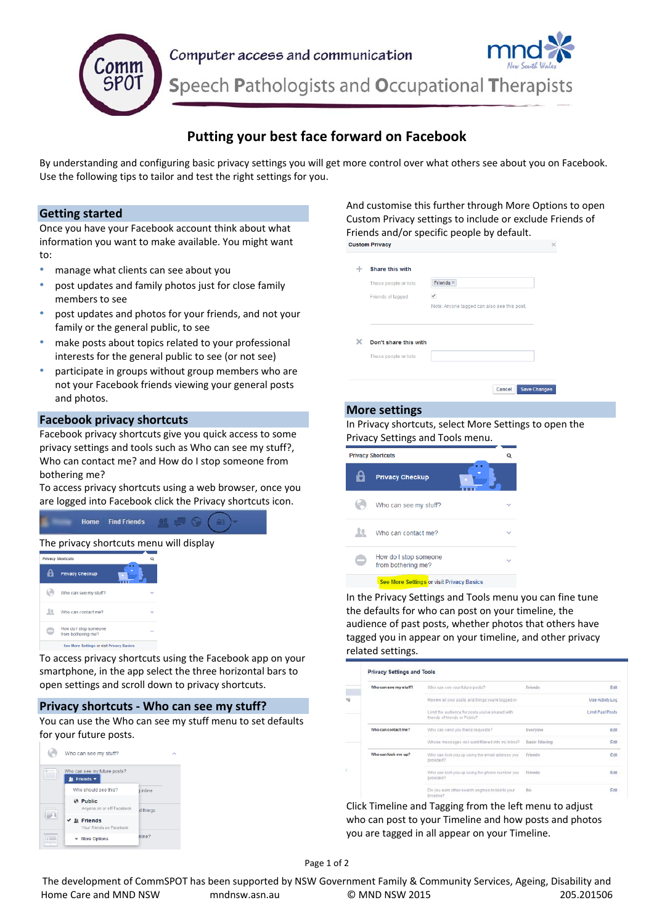

# **Putting your best face forward on Facebook**

By understanding and configuring basic privacy settings you will get more control over what others see about you on Facebook. Use the following tips to tailor and test the right settings for you.

# **Getting started**

Once you have your Facebook account think about what information you want to make available. You might want to:

- manage what clients can see about you
- post updates and family photos just for close family members to see
- post updates and photos for your friends, and not your family or the general public, to see
- make posts about topics related to your professional interests for the general public to see (or not see)
- participate in groups without group members who are not your Facebook friends viewing your general posts and photos.

# **Facebook privacy shortcuts**

Facebook privacy shortcuts give you quick access to some privacy settings and tools such as Who can see my stuff?, Who can contact me? and How do I stop someone from bothering me?

To access privacy shortcuts using a web browser, once you are logged into Facebook click the Privacy shortcuts icon.

|                                         | <b>Home</b> Find Friends |  |  |
|-----------------------------------------|--------------------------|--|--|
| The privacy shortcuts menu will display |                          |  |  |

| <b>Privacy Shortcuts</b>                    |  |
|---------------------------------------------|--|
| <b>Privacy Checkup</b>                      |  |
| Who can see my stuff?                       |  |
| Who can contact me?                         |  |
| How do I stop someone<br>from bothering me? |  |
| See More Settings or visit Privacy Basics   |  |

To access privacy shortcuts using the Facebook app on your smartphone, in the app select the three horizontal bars to open settings and scroll down to privacy shortcuts.

# **Privacy shortcuts ‐ Who can see my stuff?**

You can use the Who can see my stuff menu to set defaults for your future posts.



And customise this further through More Options to open Custom Privacy settings to include or exclude Friends of Friends and/or specific people by default.<br>Custom Privacy

| These people or lists | Friends $*$                                 |
|-----------------------|---------------------------------------------|
| Friends of tagged     |                                             |
|                       | Note: Anyone tagged can also see this post. |
|                       |                                             |
| Don't share this with |                                             |
| These people or lists |                                             |
|                       |                                             |

### **More settings**

### In Privacy shortcuts, select More Settings to open the Privacy Settings and Tools menu.

|                                                  | <b>Privacy Shortcuts</b>                    |  |
|--------------------------------------------------|---------------------------------------------|--|
|                                                  | <b>Privacy Checkup</b>                      |  |
|                                                  | Who can see my stuff?                       |  |
|                                                  | Who can contact me?                         |  |
|                                                  | How do I stop someone<br>from bothering me? |  |
| <b>See More Settings or visit Privacy Basics</b> |                                             |  |

In the Privacy Settings and Tools menu you can fine tune the defaults for who can post on your timeline, the audience of past posts, whether photos that others have tagged you in appear on your timeline, and other privacy related settings.

| Who can see my stuff? | Who can see your future posts?                                                  | Friends         | Edit             |
|-----------------------|---------------------------------------------------------------------------------|-----------------|------------------|
|                       | Review all your posts and things you're tagged in                               |                 | Use Activity Log |
|                       | Limit the audience for posts you've shared with<br>hiends of friends or Public? |                 | Limit Past Posts |
| Who can contact me?   | Who can send you triend requests?                                               | Everyone        | Edit             |
|                       | Whose messages do I want filtered into my Inbox?                                | Basic Filtering | Edit             |
| Who can look me up?   | Who can look you up using the email address you<br>provided?                    | Friends         | Edit             |
|                       | Who can look you up using the phone number you<br>provided?                     | Friends         | Edit             |
|                       | Do you want other search engines to link to your<br>timalina?                   | 110             | Edit             |

Click Timeline and Tagging from the left menu to adjust who can post to your Timeline and how posts and photos you are tagged in all appear on your Timeline.

The development of CommSPOT has been supported by NSW Government Family & Community Services, Ageing, Disability and Home Care and MND NSW mndnsw.asn.au © MND NSW 2015 205.201506